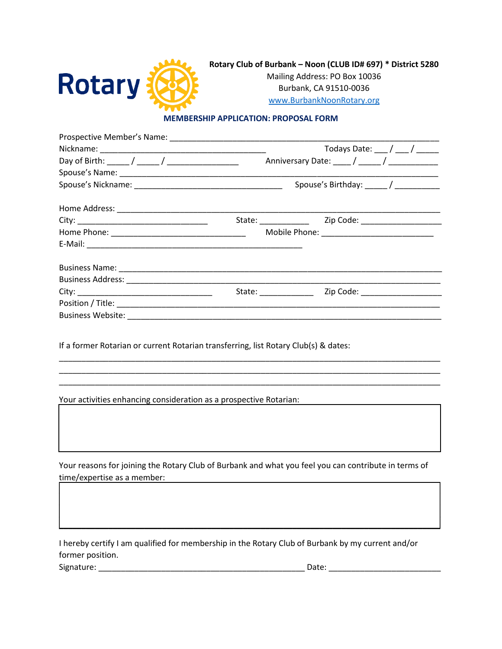

Mailing Address: PO Box 10036 Burbank, CA 91510-0036 www.BurbankNoonRotary.org

## **MEMBERSHIP APPLICATION: PROPOSAL FORM**

|                      | Todays Date: $\frac{1}{\sqrt{2}}$ / $\frac{1}{\sqrt{2}}$ |  |
|----------------------|----------------------------------------------------------|--|
|                      | Anniversary Date: ____ / _____ / _____________           |  |
|                      |                                                          |  |
|                      |                                                          |  |
|                      |                                                          |  |
|                      |                                                          |  |
|                      |                                                          |  |
|                      |                                                          |  |
|                      |                                                          |  |
|                      |                                                          |  |
| State: _____________ | Zip Code: _____________________                          |  |
|                      |                                                          |  |
|                      |                                                          |  |
|                      |                                                          |  |

If a former Rotarian or current Rotarian transferring, list Rotary Club(s) & dates:

Your activities enhancing consideration as a prospective Rotarian:

Your reasons for joining the Rotary Club of Burbank and what you feel you can contribute in terms of time/expertise as a member:

I hereby certify I am qualified for membership in the Rotary Club of Burbank by my current and/or former position.